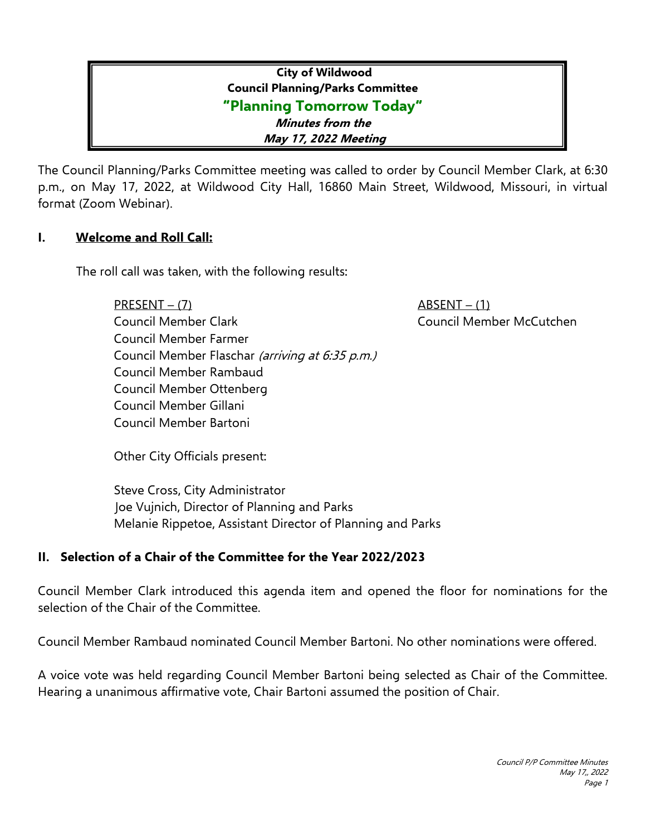# **City of Wildwood Council Planning/Parks Committee "Planning Tomorrow Today" Minutes from the May 17, 2022 Meeting**

The Council Planning/Parks Committee meeting was called to order by Council Member Clark, at 6:30 p.m., on May 17, 2022, at Wildwood City Hall, 16860 Main Street, Wildwood, Missouri, in virtual format (Zoom Webinar).

### **I. Welcome and Roll Call:**

The roll call was taken, with the following results:

PRESENT – (7) ABSENT – (1)

Council Member Clark Council Member McCutchen Council Member Farmer Council Member Flaschar (arriving at 6:35 p.m.) Council Member Rambaud Council Member Ottenberg Council Member Gillani Council Member Bartoni

Other City Officials present:

Steve Cross, City Administrator Joe Vujnich, Director of Planning and Parks Melanie Rippetoe, Assistant Director of Planning and Parks

# **II. Selection of a Chair of the Committee for the Year 2022/2023**

Council Member Clark introduced this agenda item and opened the floor for nominations for the selection of the Chair of the Committee.

Council Member Rambaud nominated Council Member Bartoni. No other nominations were offered.

A voice vote was held regarding Council Member Bartoni being selected as Chair of the Committee. Hearing a unanimous affirmative vote, Chair Bartoni assumed the position of Chair.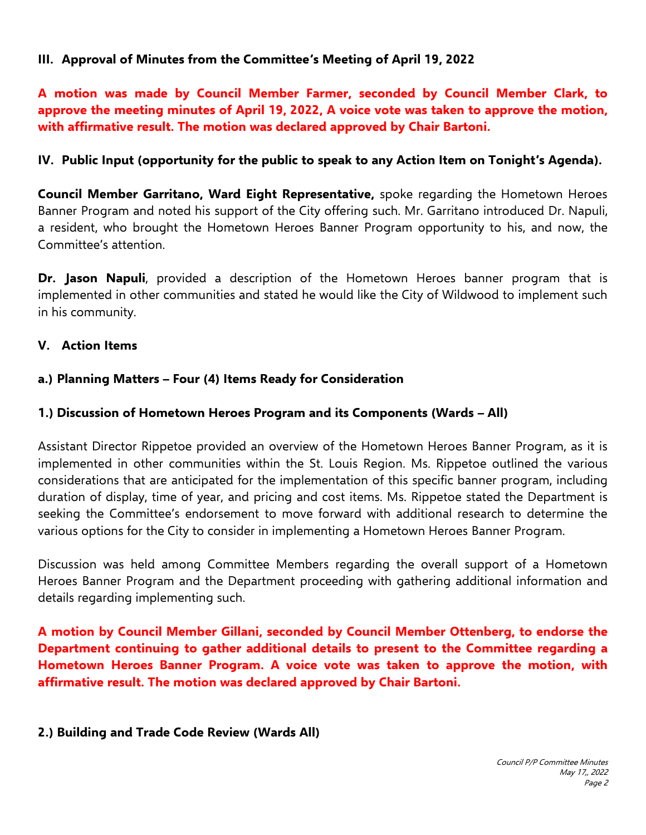### **III. Approval of Minutes from the Committee's Meeting of April 19, 2022**

**A motion was made by Council Member Farmer, seconded by Council Member Clark, to approve the meeting minutes of April 19, 2022, A voice vote was taken to approve the motion, with affirmative result. The motion was declared approved by Chair Bartoni.**

### **IV. Public Input (opportunity for the public to speak to any Action Item on Tonight's Agenda).**

**Council Member Garritano, Ward Eight Representative,** spoke regarding the Hometown Heroes Banner Program and noted his support of the City offering such. Mr. Garritano introduced Dr. Napuli, a resident, who brought the Hometown Heroes Banner Program opportunity to his, and now, the Committee's attention.

**Dr. Jason Napuli**, provided a description of the Hometown Heroes banner program that is implemented in other communities and stated he would like the City of Wildwood to implement such in his community.

### **V. Action Items**

### **a.) Planning Matters – Four (4) Items Ready for Consideration**

#### **1.) Discussion of Hometown Heroes Program and its Components (Wards – All)**

Assistant Director Rippetoe provided an overview of the Hometown Heroes Banner Program, as it is implemented in other communities within the St. Louis Region. Ms. Rippetoe outlined the various considerations that are anticipated for the implementation of this specific banner program, including duration of display, time of year, and pricing and cost items. Ms. Rippetoe stated the Department is seeking the Committee's endorsement to move forward with additional research to determine the various options for the City to consider in implementing a Hometown Heroes Banner Program.

Discussion was held among Committee Members regarding the overall support of a Hometown Heroes Banner Program and the Department proceeding with gathering additional information and details regarding implementing such.

**A motion by Council Member Gillani, seconded by Council Member Ottenberg, to endorse the Department continuing to gather additional details to present to the Committee regarding a Hometown Heroes Banner Program. A voice vote was taken to approve the motion, with affirmative result. The motion was declared approved by Chair Bartoni.**

#### **2.) Building and Trade Code Review (Wards All)**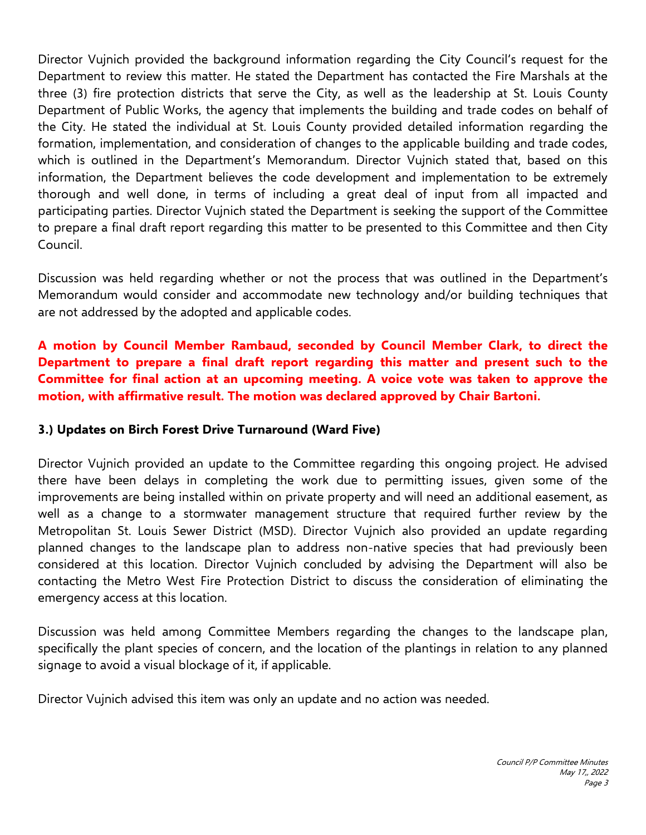Director Vujnich provided the background information regarding the City Council's request for the Department to review this matter. He stated the Department has contacted the Fire Marshals at the three (3) fire protection districts that serve the City, as well as the leadership at St. Louis County Department of Public Works, the agency that implements the building and trade codes on behalf of the City. He stated the individual at St. Louis County provided detailed information regarding the formation, implementation, and consideration of changes to the applicable building and trade codes, which is outlined in the Department's Memorandum. Director Vujnich stated that, based on this information, the Department believes the code development and implementation to be extremely thorough and well done, in terms of including a great deal of input from all impacted and participating parties. Director Vujnich stated the Department is seeking the support of the Committee to prepare a final draft report regarding this matter to be presented to this Committee and then City Council.

Discussion was held regarding whether or not the process that was outlined in the Department's Memorandum would consider and accommodate new technology and/or building techniques that are not addressed by the adopted and applicable codes.

# **A motion by Council Member Rambaud, seconded by Council Member Clark, to direct the Department to prepare a final draft report regarding this matter and present such to the Committee for final action at an upcoming meeting. A voice vote was taken to approve the motion, with affirmative result. The motion was declared approved by Chair Bartoni.**

# **3.) Updates on Birch Forest Drive Turnaround (Ward Five)**

Director Vujnich provided an update to the Committee regarding this ongoing project. He advised there have been delays in completing the work due to permitting issues, given some of the improvements are being installed within on private property and will need an additional easement, as well as a change to a stormwater management structure that required further review by the Metropolitan St. Louis Sewer District (MSD). Director Vujnich also provided an update regarding planned changes to the landscape plan to address non-native species that had previously been considered at this location. Director Vujnich concluded by advising the Department will also be contacting the Metro West Fire Protection District to discuss the consideration of eliminating the emergency access at this location.

Discussion was held among Committee Members regarding the changes to the landscape plan, specifically the plant species of concern, and the location of the plantings in relation to any planned signage to avoid a visual blockage of it, if applicable.

Director Vujnich advised this item was only an update and no action was needed.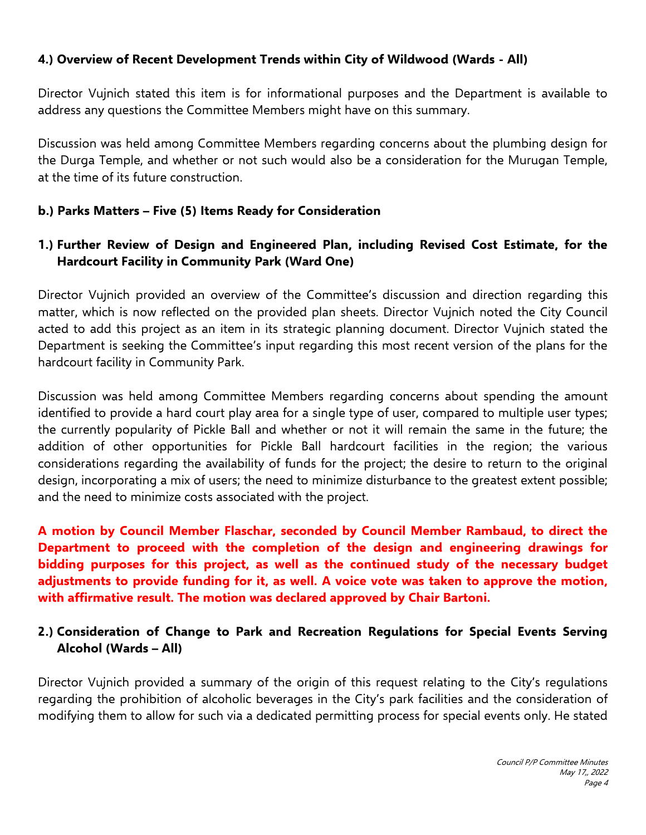### **4.) Overview of Recent Development Trends within City of Wildwood (Wards - All)**

Director Vujnich stated this item is for informational purposes and the Department is available to address any questions the Committee Members might have on this summary.

Discussion was held among Committee Members regarding concerns about the plumbing design for the Durga Temple, and whether or not such would also be a consideration for the Murugan Temple, at the time of its future construction.

### **b.) Parks Matters – Five (5) Items Ready for Consideration**

# **1.) Further Review of Design and Engineered Plan, including Revised Cost Estimate, for the Hardcourt Facility in Community Park (Ward One)**

Director Vujnich provided an overview of the Committee's discussion and direction regarding this matter, which is now reflected on the provided plan sheets. Director Vujnich noted the City Council acted to add this project as an item in its strategic planning document. Director Vujnich stated the Department is seeking the Committee's input regarding this most recent version of the plans for the hardcourt facility in Community Park.

Discussion was held among Committee Members regarding concerns about spending the amount identified to provide a hard court play area for a single type of user, compared to multiple user types; the currently popularity of Pickle Ball and whether or not it will remain the same in the future; the addition of other opportunities for Pickle Ball hardcourt facilities in the region; the various considerations regarding the availability of funds for the project; the desire to return to the original design, incorporating a mix of users; the need to minimize disturbance to the greatest extent possible; and the need to minimize costs associated with the project.

**A motion by Council Member Flaschar, seconded by Council Member Rambaud, to direct the Department to proceed with the completion of the design and engineering drawings for bidding purposes for this project, as well as the continued study of the necessary budget adjustments to provide funding for it, as well. A voice vote was taken to approve the motion, with affirmative result. The motion was declared approved by Chair Bartoni.**

# **2.) Consideration of Change to Park and Recreation Regulations for Special Events Serving Alcohol (Wards – All)**

Director Vujnich provided a summary of the origin of this request relating to the City's regulations regarding the prohibition of alcoholic beverages in the City's park facilities and the consideration of modifying them to allow for such via a dedicated permitting process for special events only. He stated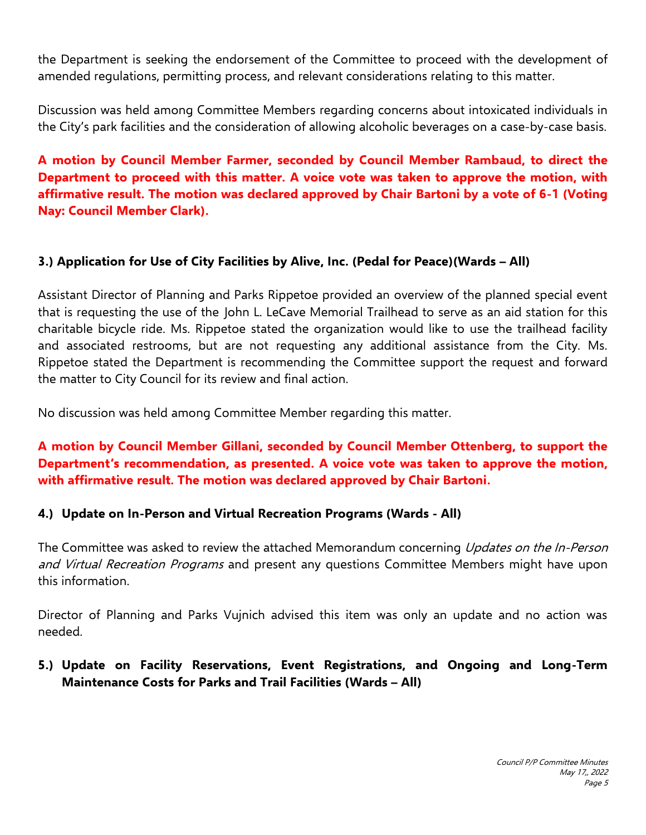the Department is seeking the endorsement of the Committee to proceed with the development of amended regulations, permitting process, and relevant considerations relating to this matter.

Discussion was held among Committee Members regarding concerns about intoxicated individuals in the City's park facilities and the consideration of allowing alcoholic beverages on a case-by-case basis.

**A motion by Council Member Farmer, seconded by Council Member Rambaud, to direct the Department to proceed with this matter. A voice vote was taken to approve the motion, with affirmative result. The motion was declared approved by Chair Bartoni by a vote of 6-1 (Voting Nay: Council Member Clark).**

# **3.) Application for Use of City Facilities by Alive, Inc. (Pedal for Peace)(Wards – All)**

Assistant Director of Planning and Parks Rippetoe provided an overview of the planned special event that is requesting the use of the John L. LeCave Memorial Trailhead to serve as an aid station for this charitable bicycle ride. Ms. Rippetoe stated the organization would like to use the trailhead facility and associated restrooms, but are not requesting any additional assistance from the City. Ms. Rippetoe stated the Department is recommending the Committee support the request and forward the matter to City Council for its review and final action.

No discussion was held among Committee Member regarding this matter.

# **A motion by Council Member Gillani, seconded by Council Member Ottenberg, to support the Department's recommendation, as presented. A voice vote was taken to approve the motion, with affirmative result. The motion was declared approved by Chair Bartoni.**

### **4.) Update on In-Person and Virtual Recreation Programs (Wards - All)**

The Committee was asked to review the attached Memorandum concerning *Updates on the In-Person* and Virtual Recreation Programs and present any questions Committee Members might have upon this information.

Director of Planning and Parks Vujnich advised this item was only an update and no action was needed.

### **5.) Update on Facility Reservations, Event Registrations, and Ongoing and Long-Term Maintenance Costs for Parks and Trail Facilities (Wards – All)**